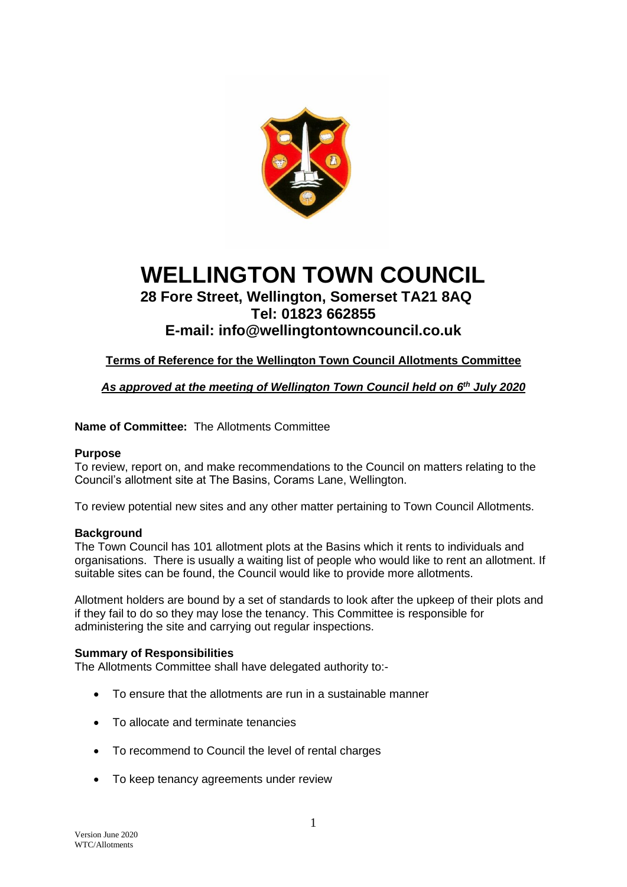

# **WELLINGTON TOWN COUNCIL**

### **28 Fore Street, Wellington, Somerset TA21 8AQ Tel: 01823 662855**

## **E-mail: info@wellingtontowncouncil.co.uk**

**Terms of Reference for the Wellington Town Council Allotments Committee**

*As approved at the meeting of Wellington Town Council held on 6 th July 2020*

#### **Name of Committee:** The Allotments Committee

#### **Purpose**

To review, report on, and make recommendations to the Council on matters relating to the Council's allotment site at The Basins, Corams Lane, Wellington.

To review potential new sites and any other matter pertaining to Town Council Allotments.

#### **Background**

The Town Council has 101 allotment plots at the Basins which it rents to individuals and organisations. There is usually a waiting list of people who would like to rent an allotment. If suitable sites can be found, the Council would like to provide more allotments.

Allotment holders are bound by a set of standards to look after the upkeep of their plots and if they fail to do so they may lose the tenancy. This Committee is responsible for administering the site and carrying out regular inspections.

#### **Summary of Responsibilities**

The Allotments Committee shall have delegated authority to:-

- To ensure that the allotments are run in a sustainable manner
- To allocate and terminate tenancies
- To recommend to Council the level of rental charges
- To keep tenancy agreements under review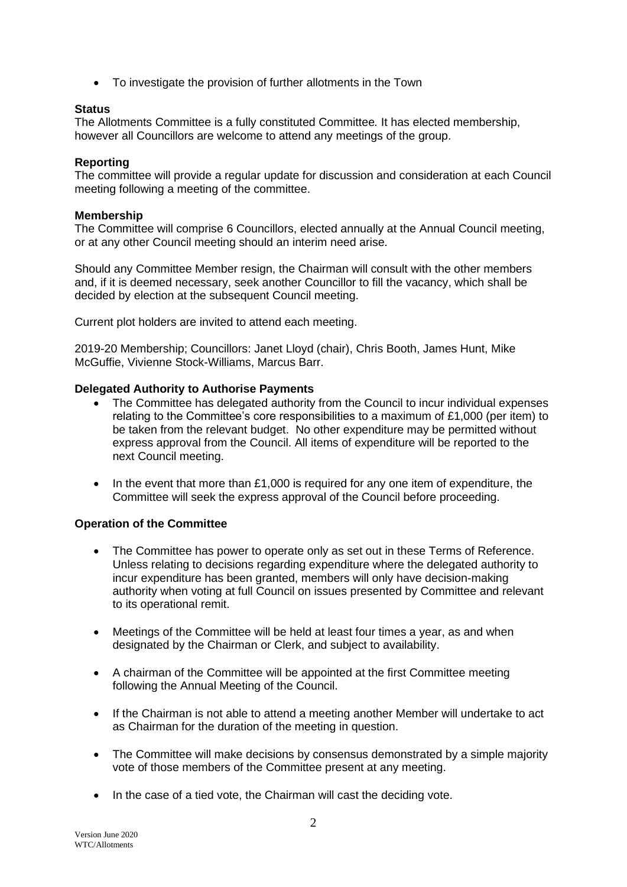• To investigate the provision of further allotments in the Town

#### **Status**

The Allotments Committee is a fully constituted Committee*.* It has elected membership, however all Councillors are welcome to attend any meetings of the group.

#### **Reporting**

The committee will provide a regular update for discussion and consideration at each Council meeting following a meeting of the committee.

#### **Membership**

The Committee will comprise 6 Councillors, elected annually at the Annual Council meeting, or at any other Council meeting should an interim need arise.

Should any Committee Member resign, the Chairman will consult with the other members and, if it is deemed necessary, seek another Councillor to fill the vacancy, which shall be decided by election at the subsequent Council meeting.

Current plot holders are invited to attend each meeting.

2019-20 Membership; Councillors: Janet Lloyd (chair), Chris Booth, James Hunt, Mike McGuffie, Vivienne Stock-Williams, Marcus Barr.

#### **Delegated Authority to Authorise Payments**

- The Committee has delegated authority from the Council to incur individual expenses relating to the Committee's core responsibilities to a maximum of £1,000 (per item) to be taken from the relevant budget. No other expenditure may be permitted without express approval from the Council. All items of expenditure will be reported to the next Council meeting.
- In the event that more than £1,000 is required for any one item of expenditure, the Committee will seek the express approval of the Council before proceeding.

#### **Operation of the Committee**

- The Committee has power to operate only as set out in these Terms of Reference. Unless relating to decisions regarding expenditure where the delegated authority to incur expenditure has been granted, members will only have decision-making authority when voting at full Council on issues presented by Committee and relevant to its operational remit.
- Meetings of the Committee will be held at least four times a year, as and when designated by the Chairman or Clerk, and subject to availability.
- A chairman of the Committee will be appointed at the first Committee meeting following the Annual Meeting of the Council.
- If the Chairman is not able to attend a meeting another Member will undertake to act as Chairman for the duration of the meeting in question.
- The Committee will make decisions by consensus demonstrated by a simple majority vote of those members of the Committee present at any meeting.
- In the case of a tied vote, the Chairman will cast the deciding vote.